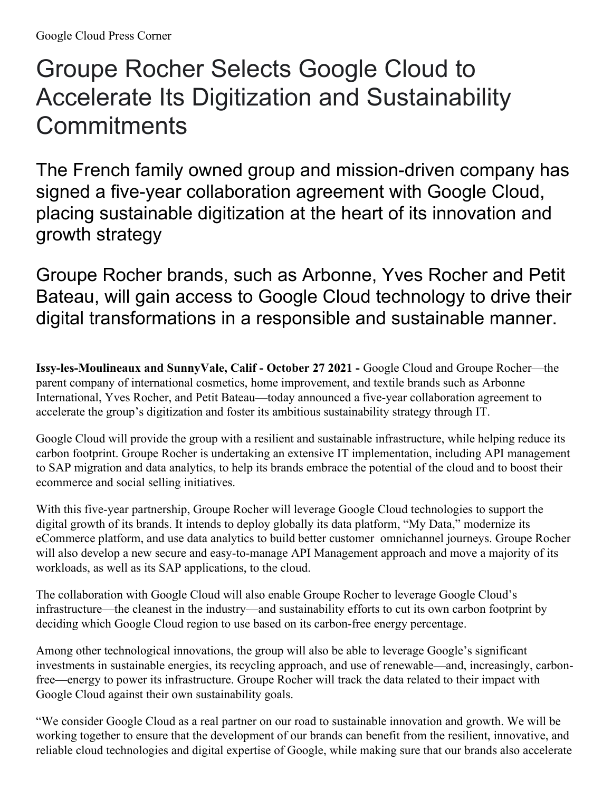## Groupe Rocher Selects Google Cloud to Accelerate Its Digitization and Sustainability **Commitments**

The French family owned group and mission-driven company has signed a five-year collaboration agreement with Google Cloud, placing sustainable digitization at the heart of its innovation and growth strategy

Groupe Rocher brands, such as Arbonne, Yves Rocher and Petit Bateau, will gain access to Google Cloud technology to drive their digital transformations in a responsible and sustainable manner.

**Issy-les-Moulineaux and SunnyVale, Calif - October 27 2021 -** Google Cloud and Groupe Rocher—the parent company of international cosmetics, home improvement, and textile brands such as Arbonne International, Yves Rocher, and Petit Bateau—today announced a five-year collaboration agreement to accelerate the group's digitization and foster its ambitious sustainability strategy through IT.

Google Cloud will provide the group with a resilient and sustainable infrastructure, while helping reduce its carbon footprint. Groupe Rocher is undertaking an extensive IT implementation, including API management to SAP migration and data analytics, to help its brands embrace the potential of the cloud and to boost their ecommerce and social selling initiatives.

With this five-year partnership, Groupe Rocher will leverage Google Cloud technologies to support the digital growth of its brands. It intends to deploy globally its data platform, "My Data," modernize its eCommerce platform, and use data analytics to build better customer omnichannel journeys. Groupe Rocher will also develop a new secure and easy-to-manage API Management approach and move a majority of its workloads, as well as its SAP applications, to the cloud.

The collaboration with Google Cloud will also enable Groupe Rocher to leverage Google Cloud's infrastructure—the cleanest in the industry—and sustainability efforts to cut its own carbon footprint by deciding which Google Cloud region to use based on its carbon-free energy percentage.

Among other technological innovations, the group will also be able to leverage Google's significant investments in sustainable energies, its recycling approach, and use of renewable—and, increasingly, carbonfree—energy to power its infrastructure. Groupe Rocher will track the data related to their impact with Google Cloud against their own sustainability goals.

"We consider Google Cloud as a real partner on our road to sustainable innovation and growth. We will be working together to ensure that the development of our brands can benefit from the resilient, innovative, and reliable cloud technologies and digital expertise of Google, while making sure that our brands also accelerate